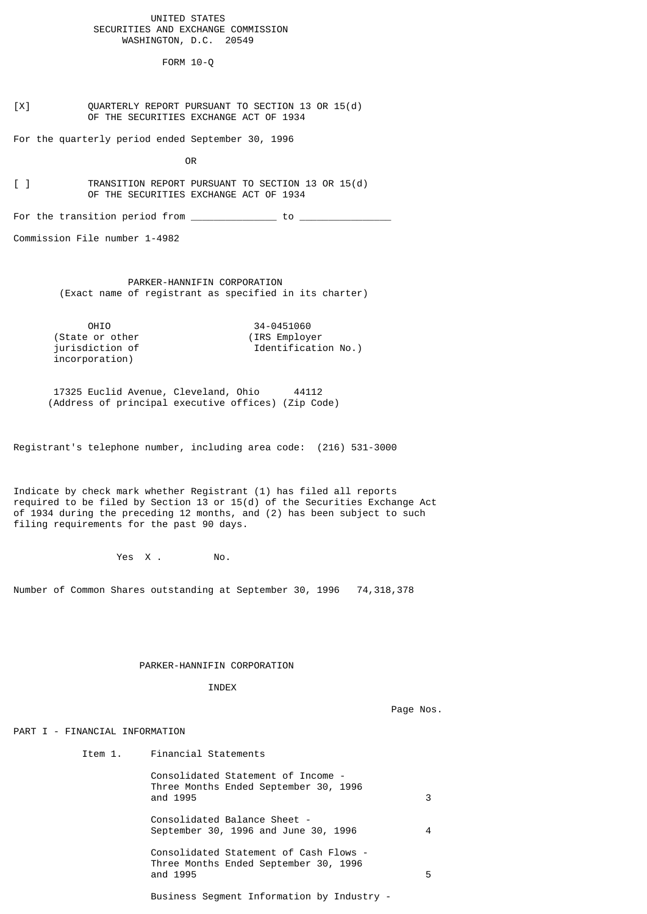### UNITED STATES SECURITIES AND EXCHANGE COMMISSION WASHINGTON, D.C. 20549

FORM 10-Q

[X] QUARTERLY REPORT PURSUANT TO SECTION 13 OR 15(d) OF THE SECURITIES EXCHANGE ACT OF 1934

For the quarterly period ended September 30, 1996

**OR** Service Service Service Service Service Service Service Service Service Service Service Service Service Service Service Service Service Service Service Service Service Service Service Service Service Service Service S

[ ] TRANSITION REPORT PURSUANT TO SECTION 13 OR 15(d) OF THE SECURITIES EXCHANGE ACT OF 1934

For the transition period from  $\frac{\ }{\ }$ 

Commission File number 1-4982

 PARKER-HANNIFIN CORPORATION (Exact name of registrant as specified in its charter)

OHIO 34-0451060 (State or other (IRS Employer<br>jurisdiction of Identificati Identification No.) incorporation)

 17325 Euclid Avenue, Cleveland, Ohio 44112 (Address of principal executive offices) (Zip Code)

Registrant's telephone number, including area code: (216) 531-3000

Indicate by check mark whether Registrant (1) has filed all reports required to be filed by Section 13 or  $15(d)$  of the Securities Exchange Act of 1934 during the preceding 12 months, and (2) has been subject to such filing requirements for the past 90 days.

Yes X. No.

Number of Common Shares outstanding at September 30, 1996 74,318,378

#### PARKER-HANNIFIN CORPORATION

INDEX

Page Nos.

#### PART I - FINANCIAL INFORMATION

| Item 1. | Financial Statements                                                                        |   |
|---------|---------------------------------------------------------------------------------------------|---|
|         | Consolidated Statement of Income -<br>Three Months Ended September 30, 1996<br>and 1995     | 3 |
|         | Consolidated Balance Sheet -<br>September 30, 1996 and June 30, 1996                        | 4 |
|         | Consolidated Statement of Cash Flows -<br>Three Months Ended September 30, 1996<br>and 1995 | 5 |
|         | Business Segment Information by Industry -                                                  |   |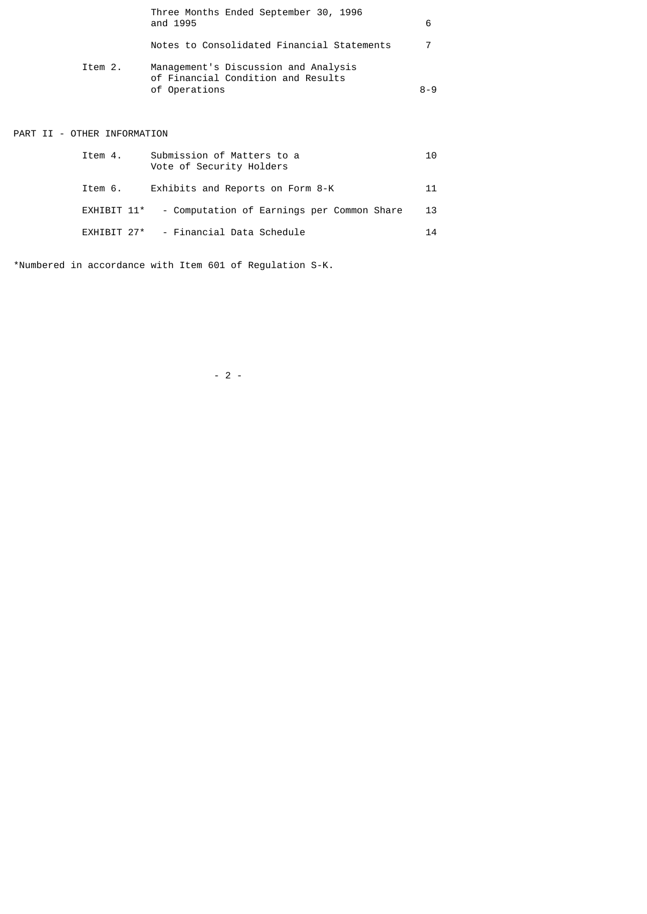|         | Three Months Ended September 30, 1996<br>and 1995                                           | 6       |
|---------|---------------------------------------------------------------------------------------------|---------|
|         | Notes to Consolidated Financial Statements                                                  |         |
| Item 2. | Management's Discussion and Analysis<br>of Financial Condition and Results<br>of Operations | $8 - 9$ |

# PART II - OTHER INFORMATION

| Item 4.     | Submission of Matters to a<br>Vote of Security Holders |  | 10. |
|-------------|--------------------------------------------------------|--|-----|
| Item 6.     | Exhibits and Reports on Form 8-K                       |  | 11  |
| EXHIBIT 11* | - Computation of Earnings per Common Share             |  | 13  |
|             | EXHIBIT 27* - Financial Data Schedule                  |  | 14  |

\*Numbered in accordance with Item 601 of Regulation S-K.

 $- 2 -$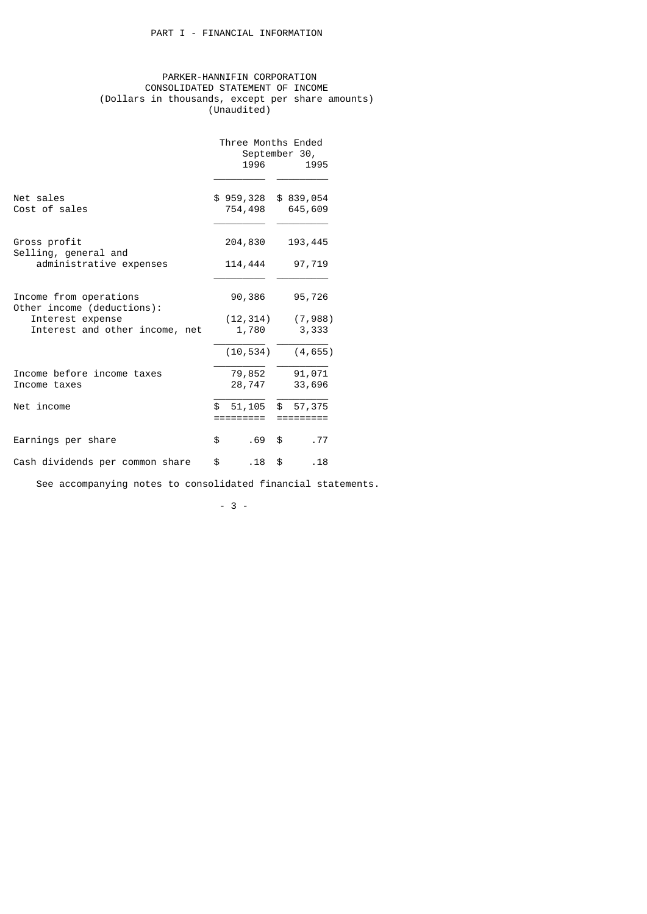## PARKER-HANNIFIN CORPORATION CONSOLIDATED STATEMENT OF INCOME (Dollars in thousands, except per share amounts) (Unaudited)

|                                                      | Three Months Ended<br>September 30,<br>1996<br>1995 |                           |  |  |  |
|------------------------------------------------------|-----------------------------------------------------|---------------------------|--|--|--|
| Net sales<br>Cost of sales                           | \$959,328<br>754,498                                | \$839,054<br>645,609      |  |  |  |
| Gross profit<br>Selling, general and                 | 204,830                                             | 193,445                   |  |  |  |
| administrative expenses                              | 114,444                                             | 97,719                    |  |  |  |
| Income from operations<br>Other income (deductions): | 90,386                                              | 95,726                    |  |  |  |
| Interest expense                                     | (12, 314)                                           | (7,988)                   |  |  |  |
| Interest and other income, net                       | 1,780                                               | 3,333                     |  |  |  |
|                                                      | (10, 534)                                           | (4, 655)                  |  |  |  |
| Income before income taxes                           | 79,852                                              | 91,071                    |  |  |  |
| Income taxes                                         | 28,747                                              | 33,696                    |  |  |  |
| Net income                                           | 51,105<br>\$.<br>. ________                         | \$<br>57,375<br>========= |  |  |  |
| Earnings per share                                   | \$<br>.69                                           | .77<br>\$                 |  |  |  |
| Cash dividends per common share                      | \$<br>. 18                                          | \$<br>.18                 |  |  |  |

See accompanying notes to consolidated financial statements.

- 3 -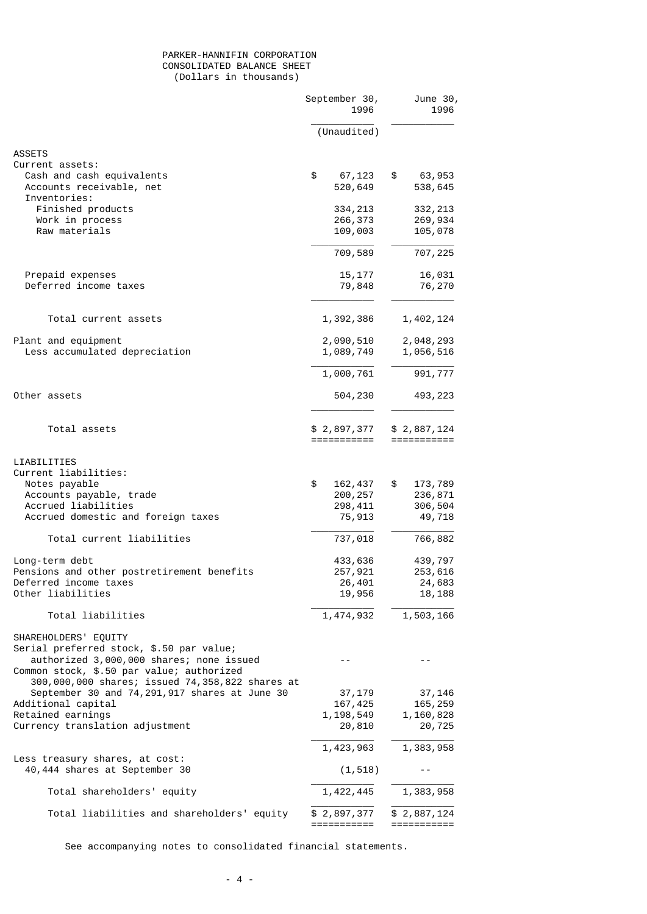## PARKER-HANNIFIN CORPORATION CONSOLIDATED BALANCE SHEET (Dollars in thousands)

|                                                                                                    | September 30,<br>1996      | June 30,<br>1996           |
|----------------------------------------------------------------------------------------------------|----------------------------|----------------------------|
|                                                                                                    | (Unaudited)                |                            |
| <b>ASSETS</b>                                                                                      |                            |                            |
| Current assets:                                                                                    |                            |                            |
| Cash and cash equivalents<br>Accounts receivable, net<br>Inventories:                              | \$<br>67,123<br>520,649    | \$<br>63,953<br>538,645    |
| Finished products                                                                                  | 334, 213                   | 332, 213                   |
| Work in process                                                                                    | 266,373                    | 269,934                    |
| Raw materials                                                                                      | 109,003                    | 105,078                    |
|                                                                                                    | 709,589                    | 707,225                    |
| Prepaid expenses                                                                                   | 15, 177                    | 16,031                     |
| Deferred income taxes                                                                              | 79,848                     | 76,270                     |
| Total current assets                                                                               | 1,392,386                  | 1,402,124                  |
|                                                                                                    |                            |                            |
| Plant and equipment                                                                                | 2,090,510                  | 2,048,293                  |
| Less accumulated depreciation                                                                      | 1,089,749                  | 1,056,516                  |
|                                                                                                    | 1,000,761                  | 991,777                    |
| Other assets                                                                                       | 504,230                    | 493,223                    |
| Total assets                                                                                       | \$2,897,377<br>=========== | \$2,887,124<br>=========== |
| LIABILITIES<br>Current liabilities:                                                                |                            |                            |
| Notes payable<br>Accounts payable, trade                                                           | \$<br>162,437<br>200, 257  | \$<br>173,789<br>236,871   |
| Accrued liabilities                                                                                | 298, 411                   | 306,504                    |
| Accrued domestic and foreign taxes                                                                 | 75,913                     | 49,718                     |
| Total current liabilities                                                                          | 737,018                    | 766,882                    |
| Long-term debt                                                                                     | 433,636                    | 439,797                    |
| Pensions and other postretirement benefits                                                         | 257,921                    | 253,616                    |
| Deferred income taxes                                                                              | 26,401                     | 24,683                     |
| Other liabilities                                                                                  | 19,956                     | 18,188                     |
| Total liabilities                                                                                  | 1,474,932                  | 1,503,166                  |
| SHAREHOLDERS' EQUITY<br>Serial preferred stock, \$.50 par value;                                   |                            |                            |
| authorized 3,000,000 shares; none issued<br>Common stock, \$.50 par value; authorized              | - -                        | - -                        |
| 300,000,000 shares; issued 74,358,822 shares at<br>September 30 and 74, 291, 917 shares at June 30 | 37,179                     | 37,146                     |
| Additional capital                                                                                 | 167,425                    | 165,259                    |
| Retained earnings                                                                                  | 1,198,549                  | 1,160,828                  |
| Currency translation adjustment                                                                    | 20,810                     | 20,725                     |
|                                                                                                    | 1,423,963                  | 1,383,958                  |
| Less treasury shares, at cost:<br>40,444 shares at September 30                                    | (1, 518)                   | $ -$                       |
| Total shareholders' equity                                                                         | 1,422,445                  | 1,383,958                  |
| Total liabilities and shareholders' equity                                                         | \$2,897,377<br>=========== | \$2,887,124<br>=========== |

See accompanying notes to consolidated financial statements.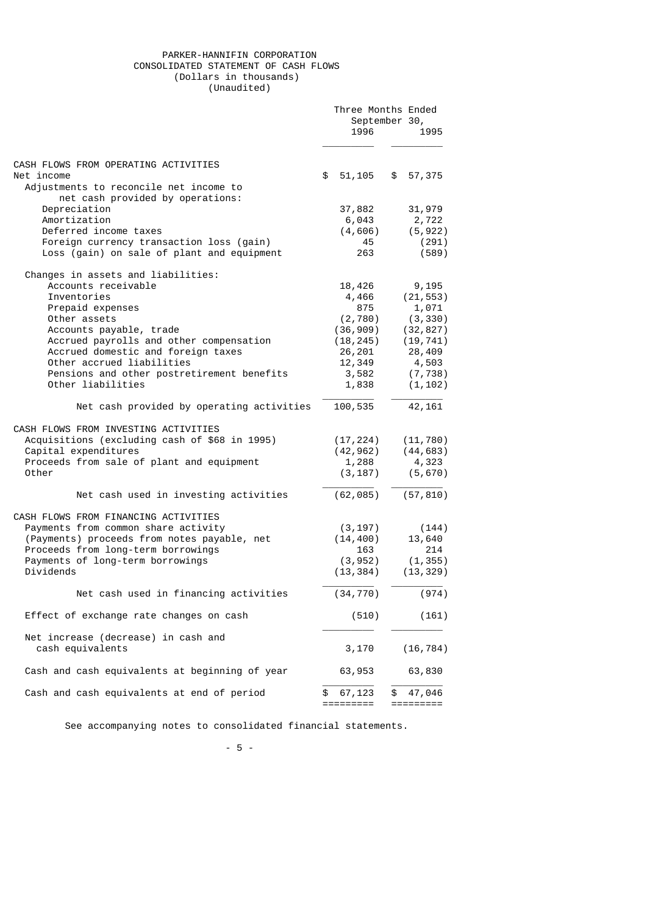## PARKER-HANNIFIN CORPORATION CONSOLIDATED STATEMENT OF CASH FLOWS (Dollars in thousands) (Unaudited)

|                                                                                                                                                                                                                   |    | Three Months Ended<br>September 30,<br>1996           |    | 1995                                            |
|-------------------------------------------------------------------------------------------------------------------------------------------------------------------------------------------------------------------|----|-------------------------------------------------------|----|-------------------------------------------------|
| CASH FLOWS FROM OPERATING ACTIVITIES<br>Net income                                                                                                                                                                | \$ | 51,105                                                | \$ | 57,375                                          |
| Adjustments to reconcile net income to<br>net cash provided by operations:                                                                                                                                        |    |                                                       |    |                                                 |
| Depreciation                                                                                                                                                                                                      |    | 37,882                                                |    | 31,979                                          |
| Amortization                                                                                                                                                                                                      |    | 6,043                                                 |    | 2,722                                           |
| Deferred income taxes                                                                                                                                                                                             |    | (4, 606)                                              |    | (5, 922)                                        |
| Foreign currency transaction loss (gain)<br>Loss (gain) on sale of plant and equipment                                                                                                                            |    | 45<br>263                                             |    | (291)<br>(589)                                  |
| Changes in assets and liabilities:                                                                                                                                                                                |    |                                                       |    |                                                 |
| Accounts receivable                                                                                                                                                                                               |    | 18,426                                                |    | 9,195                                           |
| Inventories                                                                                                                                                                                                       |    | 4,466                                                 |    | (21, 553)                                       |
| Prepaid expenses                                                                                                                                                                                                  |    | 875                                                   |    | 1,071                                           |
| Other assets<br>Accounts payable, trade                                                                                                                                                                           |    | (2, 780)<br>(36, 909)                                 |    | (3, 330)<br>(32, 827)                           |
| Accrued payrolls and other compensation                                                                                                                                                                           |    | (18, 245)                                             |    | (19, 741)                                       |
| Accrued domestic and foreign taxes                                                                                                                                                                                |    | 26,201                                                |    | 28,409                                          |
| Other accrued liabilities                                                                                                                                                                                         |    | 12,349                                                |    | 4,503                                           |
| Pensions and other postretirement benefits                                                                                                                                                                        |    | 3,582                                                 |    | (7, 738)                                        |
| Other liabilities                                                                                                                                                                                                 |    | 1,838                                                 |    | (1, 102)                                        |
| Net cash provided by operating activities                                                                                                                                                                         |    | 100,535                                               |    | 42, 161                                         |
| CASH FLOWS FROM INVESTING ACTIVITIES<br>Acquisitions (excluding cash of \$68 in 1995)<br>Capital expenditures<br>Proceeds from sale of plant and equipment<br>Other                                               |    | (17, 224)<br>(42, 962)<br>1,288<br>(3, 187)           |    | (11, 780)<br>(44, 683)<br>4,323<br>(5,670)      |
| Net cash used in investing activities                                                                                                                                                                             |    | (62, 085)                                             |    | (57, 810)                                       |
| CASH FLOWS FROM FINANCING ACTIVITIES<br>Payments from common share activity<br>(Payments) proceeds from notes payable, net<br>Proceeds from long-term borrowings<br>Payments of long-term borrowings<br>Dividends |    | (3, 197)<br>(14, 400)<br>163<br>(3, 952)<br>(13, 384) |    | (144)<br>13,640<br>214<br>(1, 355)<br>(13, 329) |
| Net cash used in financing activities                                                                                                                                                                             |    | (34, 770)                                             |    | (974)                                           |
| Effect of exchange rate changes on cash                                                                                                                                                                           |    | (510)                                                 |    | (161)                                           |
| Net increase (decrease) in cash and<br>cash equivalents                                                                                                                                                           |    | 3,170                                                 |    | (16, 784)                                       |
| Cash and cash equivalents at beginning of year                                                                                                                                                                    |    | 63,953                                                |    | 63,830                                          |
| Cash and cash equivalents at end of period                                                                                                                                                                        | \$ | 67,123<br>:=======                                    | \$ | 47,046<br>=======                               |

See accompanying notes to consolidated financial statements.

- 5 -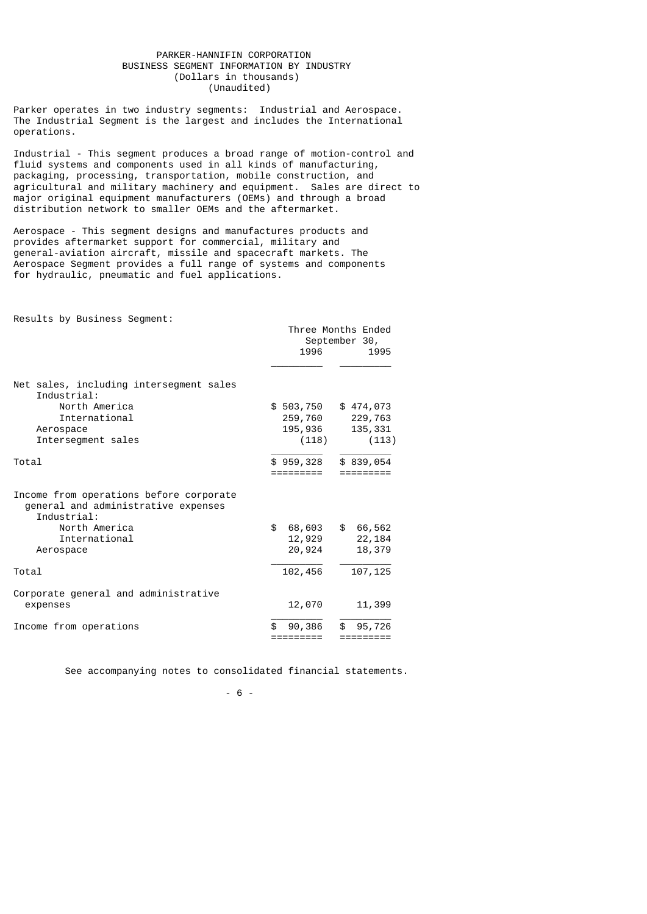### PARKER-HANNIFIN CORPORATION BUSINESS SEGMENT INFORMATION BY INDUSTRY (Dollars in thousands) (Unaudited)

Parker operates in two industry segments: Industrial and Aerospace. The Industrial Segment is the largest and includes the International operations.

Industrial - This segment produces a broad range of motion-control and fluid systems and components used in all kinds of manufacturing, packaging, processing, transportation, mobile construction, and agricultural and military machinery and equipment. Sales are direct to major original equipment manufacturers (OEMs) and through a broad distribution network to smaller OEMs and the aftermarket.

Aerospace - This segment designs and manufactures products and provides aftermarket support for commercial, military and general-aviation aircraft, missile and spacecraft markets. The Aerospace Segment provides a full range of systems and components for hydraulic, pneumatic and fuel applications.

Results by Business Segment:

|                                                                                                                                              | Three Months Ended<br>September 30,<br>1996<br>1995 |                                          |  |  |  |
|----------------------------------------------------------------------------------------------------------------------------------------------|-----------------------------------------------------|------------------------------------------|--|--|--|
| Net sales, including intersegment sales<br>Industrial:<br>North America<br>International<br>Aerospace<br>Intersegment sales                  | \$503,750<br>259,760<br>195,936<br>(118)            | \$474,073<br>229,763<br>135,331<br>(113) |  |  |  |
| Total                                                                                                                                        | \$959,328                                           | \$839,054                                |  |  |  |
| Income from operations before corporate<br>general and administrative expenses<br>Industrial:<br>North America<br>International<br>Aerospace | \$<br>68,603<br>12,929<br>20,924                    | \$<br>66,562<br>22,184<br>18,379         |  |  |  |
| Total                                                                                                                                        | 102,456                                             | 107,125                                  |  |  |  |
| Corporate general and administrative<br>expenses                                                                                             | 12,070                                              | 11,399                                   |  |  |  |
| Income from operations                                                                                                                       | 90,386<br>========                                  | \$.<br>95,726<br>========                |  |  |  |

See accompanying notes to consolidated financial statements.

 $- 6 - 6$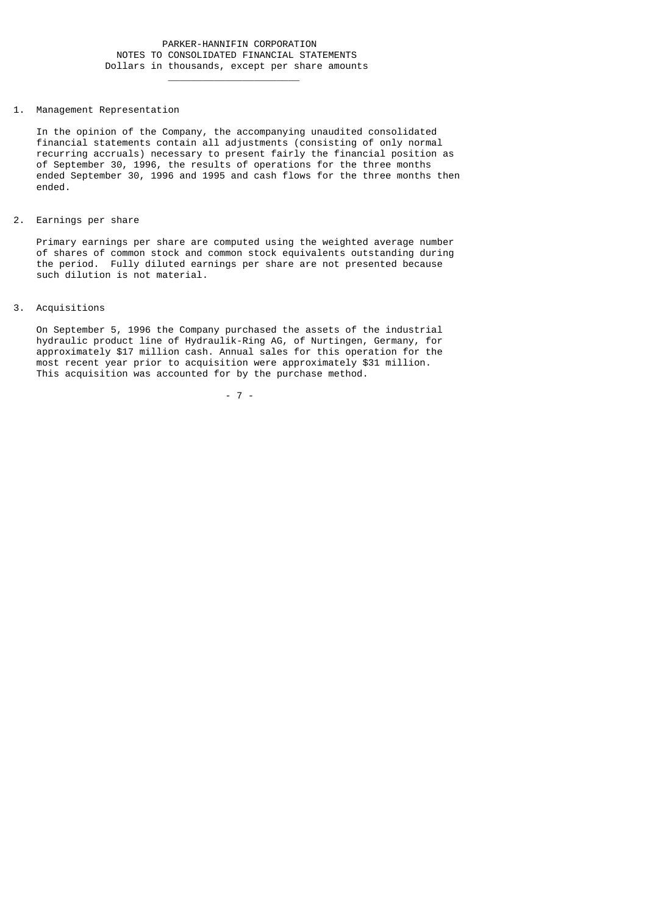#### 1. Management Representation

 $\frac{1}{2}$  , and the set of the set of the set of the set of the set of the set of the set of the set of the set of the set of the set of the set of the set of the set of the set of the set of the set of the set of the set

 In the opinion of the Company, the accompanying unaudited consolidated financial statements contain all adjustments (consisting of only normal recurring accruals) necessary to present fairly the financial position as of September 30, 1996, the results of operations for the three months ended September 30, 1996 and 1995 and cash flows for the three months then ended.

2. Earnings per share

 Primary earnings per share are computed using the weighted average number of shares of common stock and common stock equivalents outstanding during the period. Fully diluted earnings per share are not presented because such dilution is not material.

3. Acquisitions

 On September 5, 1996 the Company purchased the assets of the industrial hydraulic product line of Hydraulik-Ring AG, of Nurtingen, Germany, for approximately \$17 million cash. Annual sales for this operation for the most recent year prior to acquisition were approximately \$31 million. This acquisition was accounted for by the purchase method.

- 7 -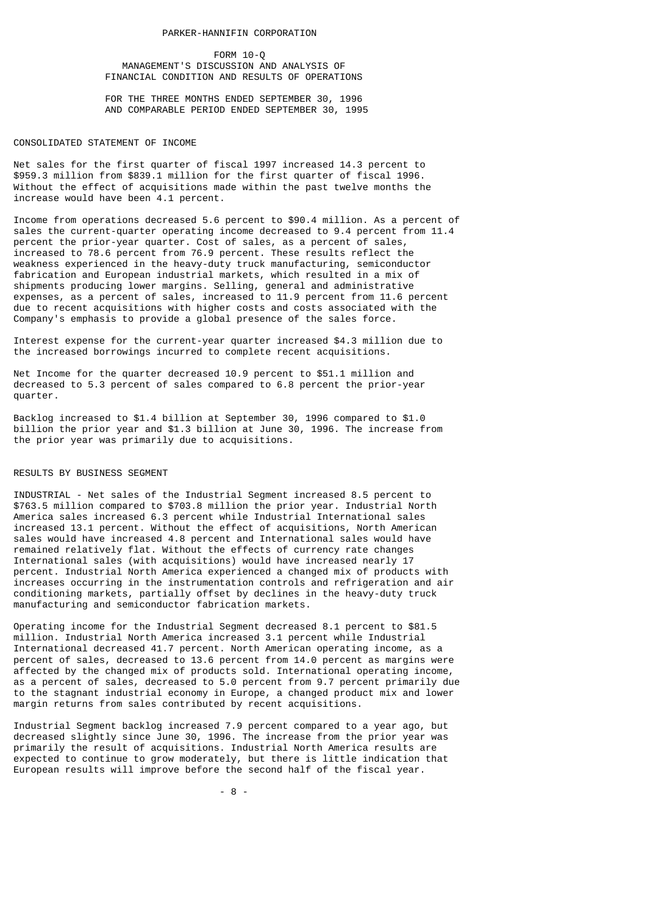#### PARKER-HANNIFIN CORPORATION

### FORM 10-Q MANAGEMENT'S DISCUSSION AND ANALYSIS OF FINANCIAL CONDITION AND RESULTS OF OPERATIONS

 FOR THE THREE MONTHS ENDED SEPTEMBER 30, 1996 AND COMPARABLE PERIOD ENDED SEPTEMBER 30, 1995

#### CONSOLIDATED STATEMENT OF INCOME

Net sales for the first quarter of fiscal 1997 increased 14.3 percent to \$959.3 million from \$839.1 million for the first quarter of fiscal 1996. Without the effect of acquisitions made within the past twelve months the increase would have been 4.1 percent.

Income from operations decreased 5.6 percent to \$90.4 million. As a percent of sales the current-quarter operating income decreased to 9.4 percent from 11.4 percent the prior-year quarter. Cost of sales, as a percent of sales, increased to 78.6 percent from 76.9 percent. These results reflect the weakness experienced in the heavy-duty truck manufacturing, semiconductor fabrication and European industrial markets, which resulted in a mix of shipments producing lower margins. Selling, general and administrative expenses, as a percent of sales, increased to 11.9 percent from 11.6 percent due to recent acquisitions with higher costs and costs associated with the Company's emphasis to provide a global presence of the sales force.

Interest expense for the current-year quarter increased \$4.3 million due to the increased borrowings incurred to complete recent acquisitions.

Net Income for the quarter decreased 10.9 percent to \$51.1 million and decreased to 5.3 percent of sales compared to 6.8 percent the prior-year quarter.

Backlog increased to \$1.4 billion at September 30, 1996 compared to \$1.0 billion the prior year and \$1.3 billion at June 30, 1996. The increase from the prior year was primarily due to acquisitions.

#### RESULTS BY BUSINESS SEGMENT

INDUSTRIAL - Net sales of the Industrial Segment increased 8.5 percent to \$763.5 million compared to \$703.8 million the prior year. Industrial North America sales increased 6.3 percent while Industrial International sales increased 13.1 percent. Without the effect of acquisitions, North American sales would have increased 4.8 percent and International sales would have remained relatively flat. Without the effects of currency rate changes International sales (with acquisitions) would have increased nearly 17 percent. Industrial North America experienced a changed mix of products with increases occurring in the instrumentation controls and refrigeration and air conditioning markets, partially offset by declines in the heavy-duty truck manufacturing and semiconductor fabrication markets.

Operating income for the Industrial Segment decreased 8.1 percent to \$81.5 million. Industrial North America increased 3.1 percent while Industrial International decreased 41.7 percent. North American operating income, as a percent of sales, decreased to 13.6 percent from 14.0 percent as margins were affected by the changed mix of products sold. International operating income, as a percent of sales, decreased to 5.0 percent from 9.7 percent primarily due to the stagnant industrial economy in Europe, a changed product mix and lower margin returns from sales contributed by recent acquisitions.

Industrial Segment backlog increased 7.9 percent compared to a year ago, but decreased slightly since June 30, 1996. The increase from the prior year was primarily the result of acquisitions. Industrial North America results are expected to continue to grow moderately, but there is little indication that European results will improve before the second half of the fiscal year.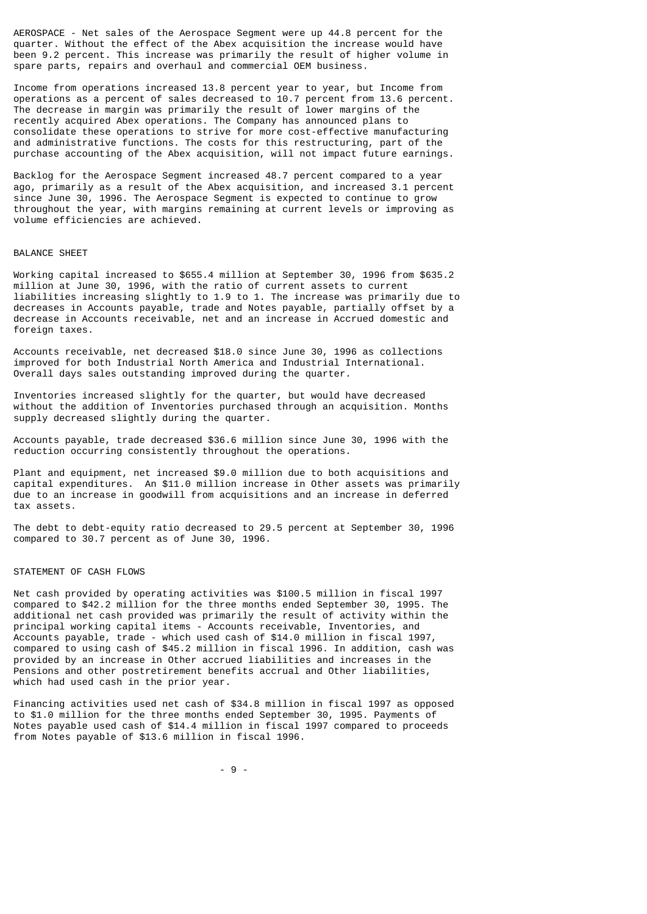AEROSPACE - Net sales of the Aerospace Segment were up 44.8 percent for the quarter. Without the effect of the Abex acquisition the increase would have been 9.2 percent. This increase was primarily the result of higher volume in spare parts, repairs and overhaul and commercial OEM business.

Income from operations increased 13.8 percent year to year, but Income from operations as a percent of sales decreased to 10.7 percent from 13.6 percent. The decrease in margin was primarily the result of lower margins of the recently acquired Abex operations. The Company has announced plans to consolidate these operations to strive for more cost-effective manufacturing and administrative functions. The costs for this restructuring, part of the purchase accounting of the Abex acquisition, will not impact future earnings.

Backlog for the Aerospace Segment increased 48.7 percent compared to a year ago, primarily as a result of the Abex acquisition, and increased 3.1 percent since June 30, 1996. The Aerospace Segment is expected to continue to grow throughout the year, with margins remaining at current levels or improving as volume efficiencies are achieved.

#### BALANCE SHEET

Working capital increased to \$655.4 million at September 30, 1996 from \$635.2 million at June 30, 1996, with the ratio of current assets to current liabilities increasing slightly to 1.9 to 1. The increase was primarily due to decreases in Accounts payable, trade and Notes payable, partially offset by a decrease in Accounts receivable, net and an increase in Accrued domestic and foreign taxes.

Accounts receivable, net decreased \$18.0 since June 30, 1996 as collections improved for both Industrial North America and Industrial International. Overall days sales outstanding improved during the quarter.

Inventories increased slightly for the quarter, but would have decreased without the addition of Inventories purchased through an acquisition. Months supply decreased slightly during the quarter.

Accounts payable, trade decreased \$36.6 million since June 30, 1996 with the reduction occurring consistently throughout the operations.

Plant and equipment, net increased \$9.0 million due to both acquisitions and capital expenditures. An \$11.0 million increase in Other assets was primarily due to an increase in goodwill from acquisitions and an increase in deferred tax assets.

The debt to debt-equity ratio decreased to 29.5 percent at September 30, 1996 compared to 30.7 percent as of June 30, 1996.

#### STATEMENT OF CASH FLOWS

Net cash provided by operating activities was \$100.5 million in fiscal 1997 compared to \$42.2 million for the three months ended September 30, 1995. The additional net cash provided was primarily the result of activity within the principal working capital items - Accounts receivable, Inventories, and Accounts payable, trade - which used cash of \$14.0 million in fiscal 1997, compared to using cash of \$45.2 million in fiscal 1996. In addition, cash was provided by an increase in Other accrued liabilities and increases in the Pensions and other postretirement benefits accrual and Other liabilities, which had used cash in the prior year.

Financing activities used net cash of \$34.8 million in fiscal 1997 as opposed to \$1.0 million for the three months ended September 30, 1995. Payments of Notes payable used cash of \$14.4 million in fiscal 1997 compared to proceeds from Notes payable of \$13.6 million in fiscal 1996.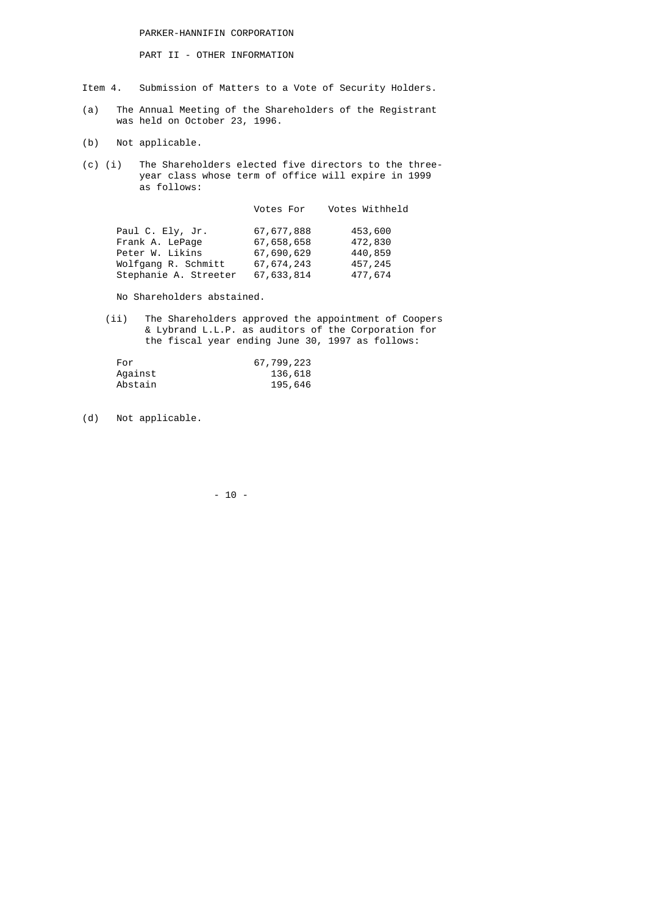PARKER-HANNIFIN CORPORATION

PART II - OTHER INFORMATION

- Item 4. Submission of Matters to a Vote of Security Holders.
- (a) The Annual Meeting of the Shareholders of the Registrant was held on October 23, 1996.
	- (b) Not applicable.
- (c) (i) The Shareholders elected five directors to the three year class whose term of office will expire in 1999 as follows:

|            | Votes Withheld |
|------------|----------------|
| 67,677,888 | 453,600        |
| 67,658,658 | 472,830        |
| 67,690,629 | 440,859        |
| 67,674,243 | 457,245        |
| 67,633,814 | 477,674        |
|            | Votes For      |

No Shareholders abstained.

 (ii) The Shareholders approved the appointment of Coopers & Lybrand L.L.P. as auditors of the Corporation for the fiscal year ending June 30, 1997 as follows:

| For     | 67,799,223 |
|---------|------------|
| Aqainst | 136,618    |
| Abstain | 195,646    |

(d) Not applicable.

- 10 -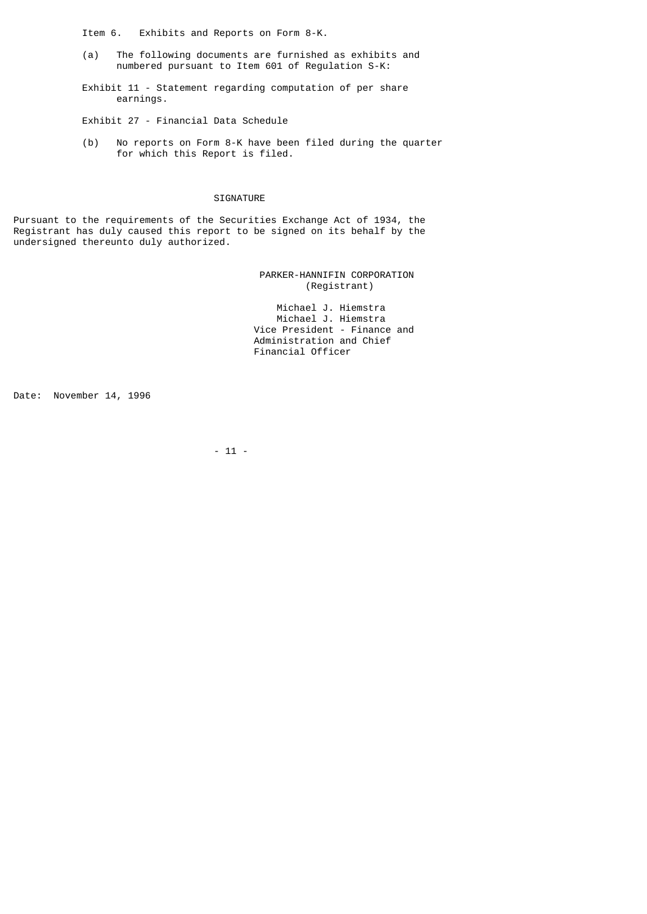Item 6. Exhibits and Reports on Form 8-K.

 (a) The following documents are furnished as exhibits and numbered pursuant to Item 601 of Regulation S-K:

 Exhibit 11 - Statement regarding computation of per share earnings.

Exhibit 27 - Financial Data Schedule

 (b) No reports on Form 8-K have been filed during the quarter for which this Report is filed.

#### SIGNATURE

Pursuant to the requirements of the Securities Exchange Act of 1934, the Registrant has duly caused this report to be signed on its behalf by the undersigned thereunto duly authorized.

> PARKER-HANNIFIN CORPORATION (Registrant)

 Michael J. Hiemstra Michael J. Hiemstra Vice President - Finance and Administration and Chief Financial Officer

Date: November 14, 1996

- 11 -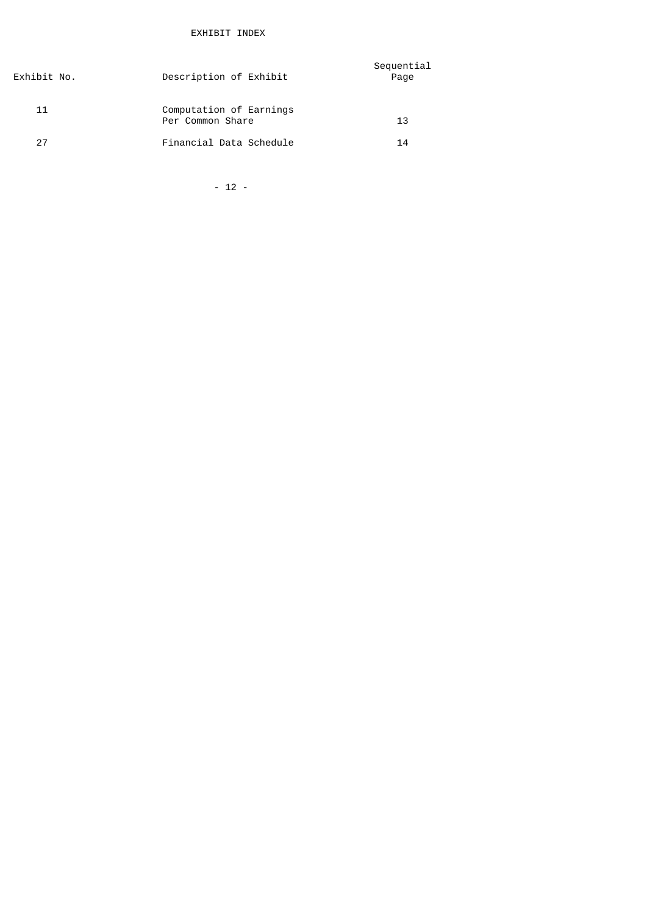| Description of Exhibit                      | Sequential<br>Page |
|---------------------------------------------|--------------------|
| Computation of Earnings<br>Per Common Share | 13                 |
| Financial Data Schedule                     | 14                 |
|                                             |                    |

 $- 12 -$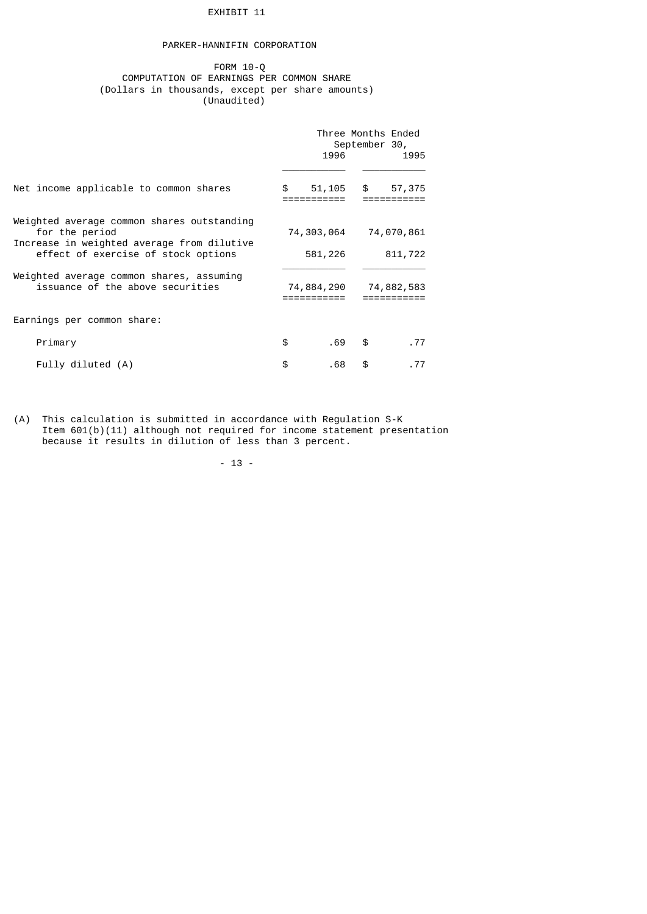### EXHIBIT 11

# PARKER-HANNIFIN CORPORATION

### FORM 10-Q COMPUTATION OF EARNINGS PER COMMON SHARE (Dollars in thousands, except per share amounts) (Unaudited)

|                                                                                                                                                   | 1996                  | September 30, | Three Months Ended<br>1995 |
|---------------------------------------------------------------------------------------------------------------------------------------------------|-----------------------|---------------|----------------------------|
| Net income applicable to common shares                                                                                                            | \$                    |               | 51,105 \$ 57,375           |
| Weighted average common shares outstanding<br>for the period<br>Increase in weighted average from dilutive<br>effect of exercise of stock options | 74,303,064<br>581,226 |               | 74,070,861<br>811,722      |
| Weighted average common shares, assuming<br>issuance of the above securities                                                                      | 74,884,290            |               | 74,882,583                 |
| Earnings per common share:                                                                                                                        |                       |               |                            |
| Primary                                                                                                                                           | \$<br>.69             | \$            | .77                        |
| Fully diluted (A)                                                                                                                                 | \$<br>. 68            | \$            | . 77                       |

(A) This calculation is submitted in accordance with Regulation S-K Item 601(b)(11) although not required for income statement presentation because it results in dilution of less than 3 percent.

- 13 -